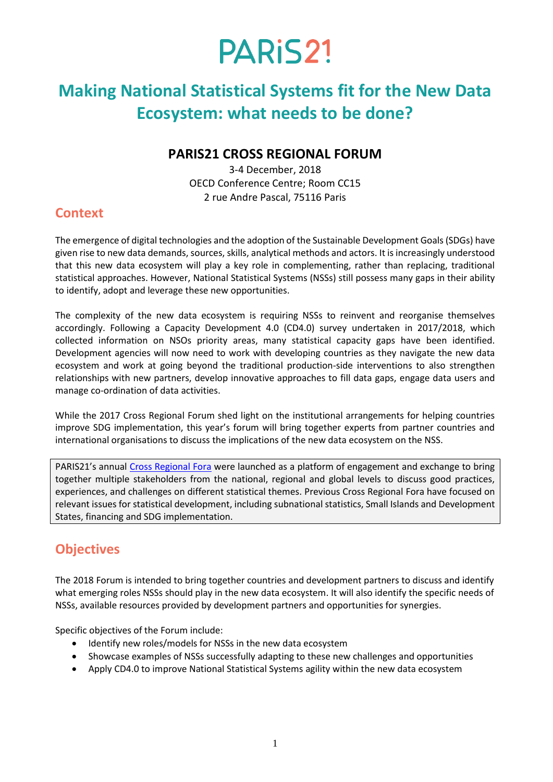### **Making National Statistical Systems fit for the New Data Ecosystem: what needs to be done?**

#### **PARIS21 CROSS REGIONAL FORUM**

3-4 December, 2018 OECD Conference Centre; Room CC15 2 rue Andre Pascal, 75116 Paris

#### **Context**

The emergence of digital technologies and the adoption of the Sustainable Development Goals (SDGs) have given rise to new data demands, sources, skills, analytical methods and actors. It is increasingly understood that this new data ecosystem will play a key role in complementing, rather than replacing, traditional statistical approaches. However, National Statistical Systems (NSSs) still possess many gaps in their ability to identify, adopt and leverage these new opportunities.

The complexity of the new data ecosystem is requiring NSSs to reinvent and reorganise themselves accordingly. Following a Capacity Development 4.0 (CD4.0) survey undertaken in 2017/2018, which collected information on NSOs priority areas, many statistical capacity gaps have been identified. Development agencies will now need to work with developing countries as they navigate the new data ecosystem and work at going beyond the traditional production-side interventions to also strengthen relationships with new partners, develop innovative approaches to fill data gaps, engage data users and manage co-ordination of data activities.

While the 2017 Cross Regional Forum shed light on the institutional arrangements for helping countries improve SDG implementation, this year's forum will bring together experts from partner countries and international organisations to discuss the implications of the new data ecosystem on the NSS.

PARIS21's annual [Cross Regional Fora](http://www.paris21.org/cross-regional-engagement) were launched as a platform of engagement and exchange to bring together multiple stakeholders from the national, regional and global levels to discuss good practices, experiences, and challenges on different statistical themes. Previous Cross Regional Fora have focused on relevant issues for statistical development, including subnational statistics, Small Islands and Development States, financing and SDG implementation.

### **Objectives**

The 2018 Forum is intended to bring together countries and development partners to discuss and identify what emerging roles NSSs should play in the new data ecosystem. It will also identify the specific needs of NSSs, available resources provided by development partners and opportunities for synergies.

Specific objectives of the Forum include:

- Identify new roles/models for NSSs in the new data ecosystem
- Showcase examples of NSSs successfully adapting to these new challenges and opportunities
- Apply CD4.0 to improve National Statistical Systems agility within the new data ecosystem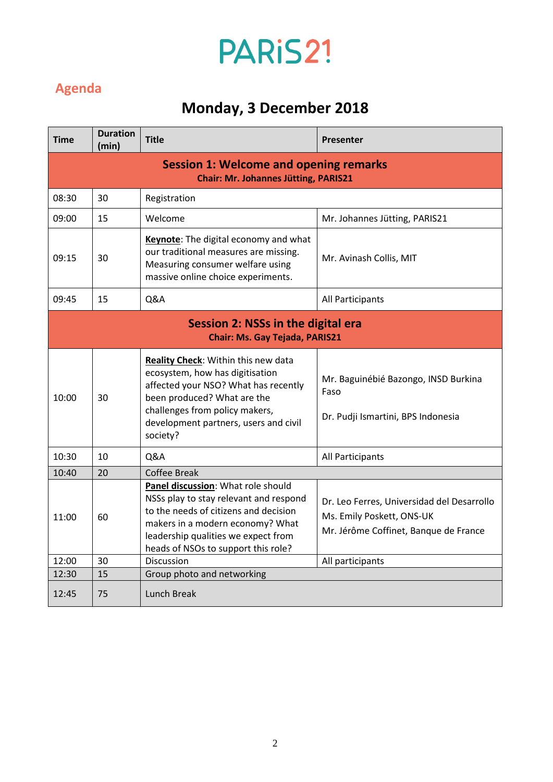### **Agenda**

## **Monday, 3 December 2018**

| <b>Time</b>                                                                                  | <b>Duration</b><br>(min) | <b>Title</b>                                                                                                                                                                                                                            | Presenter                                                                                                        |  |  |  |
|----------------------------------------------------------------------------------------------|--------------------------|-----------------------------------------------------------------------------------------------------------------------------------------------------------------------------------------------------------------------------------------|------------------------------------------------------------------------------------------------------------------|--|--|--|
| <b>Session 1: Welcome and opening remarks</b><br><b>Chair: Mr. Johannes Jütting, PARIS21</b> |                          |                                                                                                                                                                                                                                         |                                                                                                                  |  |  |  |
| 08:30                                                                                        | 30                       | Registration                                                                                                                                                                                                                            |                                                                                                                  |  |  |  |
| 09:00                                                                                        | 15                       | Welcome                                                                                                                                                                                                                                 | Mr. Johannes Jütting, PARIS21                                                                                    |  |  |  |
| 09:15                                                                                        | 30                       | <b>Keynote:</b> The digital economy and what<br>our traditional measures are missing.<br>Measuring consumer welfare using<br>massive online choice experiments.                                                                         | Mr. Avinash Collis, MIT                                                                                          |  |  |  |
| 09:45                                                                                        | 15                       | Q&A                                                                                                                                                                                                                                     | All Participants                                                                                                 |  |  |  |
| Session 2: NSSs in the digital era<br><b>Chair: Ms. Gay Tejada, PARIS21</b>                  |                          |                                                                                                                                                                                                                                         |                                                                                                                  |  |  |  |
| 10:00                                                                                        | 30                       | Reality Check: Within this new data<br>ecosystem, how has digitisation<br>affected your NSO? What has recently<br>been produced? What are the<br>challenges from policy makers,<br>development partners, users and civil<br>society?    | Mr. Baguinébié Bazongo, INSD Burkina<br>Faso<br>Dr. Pudji Ismartini, BPS Indonesia                               |  |  |  |
| 10:30                                                                                        | 10                       | Q&A                                                                                                                                                                                                                                     | All Participants                                                                                                 |  |  |  |
| 10:40                                                                                        | 20                       | <b>Coffee Break</b>                                                                                                                                                                                                                     |                                                                                                                  |  |  |  |
| 11:00                                                                                        | 60                       | Panel discussion: What role should<br>NSSs play to stay relevant and respond<br>to the needs of citizens and decision<br>makers in a modern economy? What<br>leadership qualities we expect from<br>heads of NSOs to support this role? | Dr. Leo Ferres, Universidad del Desarrollo<br>Ms. Emily Poskett, ONS-UK<br>Mr. Jérôme Coffinet, Banque de France |  |  |  |
| 12:00                                                                                        | 30                       | Discussion                                                                                                                                                                                                                              | All participants                                                                                                 |  |  |  |
| 12:30                                                                                        | 15                       | Group photo and networking                                                                                                                                                                                                              |                                                                                                                  |  |  |  |
| 12:45                                                                                        | 75                       | Lunch Break                                                                                                                                                                                                                             |                                                                                                                  |  |  |  |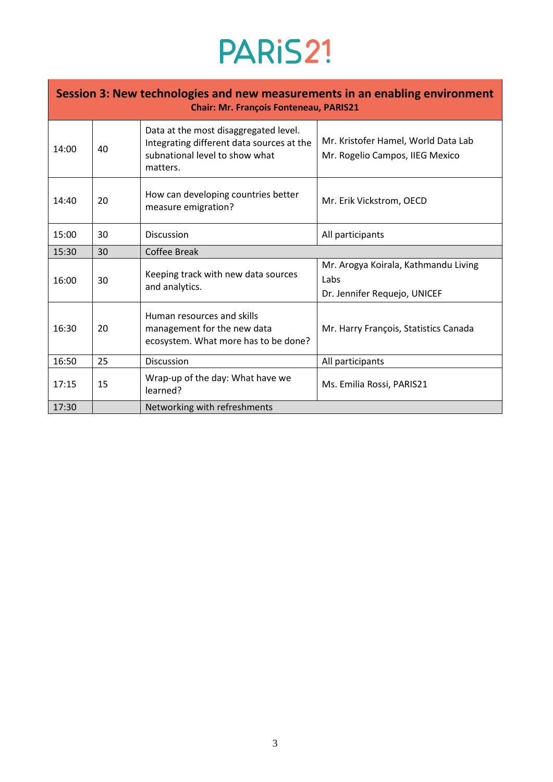| Session 3: New technologies and new measurements in an enabling environment<br><b>Chair: Mr. François Fonteneau, PARIS21</b> |    |                                                                                                                                  |                                                                              |  |  |  |
|------------------------------------------------------------------------------------------------------------------------------|----|----------------------------------------------------------------------------------------------------------------------------------|------------------------------------------------------------------------------|--|--|--|
| 14:00                                                                                                                        | 40 | Data at the most disaggregated level.<br>Integrating different data sources at the<br>subnational level to show what<br>matters. | Mr. Kristofer Hamel, World Data Lab<br>Mr. Rogelio Campos, IIEG Mexico       |  |  |  |
| 14:40                                                                                                                        | 20 | How can developing countries better<br>measure emigration?                                                                       | Mr. Erik Vickstrom, OECD                                                     |  |  |  |
| 15:00                                                                                                                        | 30 | <b>Discussion</b>                                                                                                                | All participants                                                             |  |  |  |
| 15:30                                                                                                                        | 30 | <b>Coffee Break</b>                                                                                                              |                                                                              |  |  |  |
| 16:00                                                                                                                        | 30 | Keeping track with new data sources<br>and analytics.                                                                            | Mr. Arogya Koirala, Kathmandu Living<br>Labs<br>Dr. Jennifer Requejo, UNICEF |  |  |  |
| 16:30                                                                                                                        | 20 | Human resources and skills<br>management for the new data<br>ecosystem. What more has to be done?                                | Mr. Harry François, Statistics Canada                                        |  |  |  |
| 16:50                                                                                                                        | 25 | Discussion                                                                                                                       | All participants                                                             |  |  |  |
| 17:15                                                                                                                        | 15 | Wrap-up of the day: What have we<br>learned?                                                                                     | Ms. Emilia Rossi, PARIS21                                                    |  |  |  |
| 17:30                                                                                                                        |    | Networking with refreshments                                                                                                     |                                                                              |  |  |  |